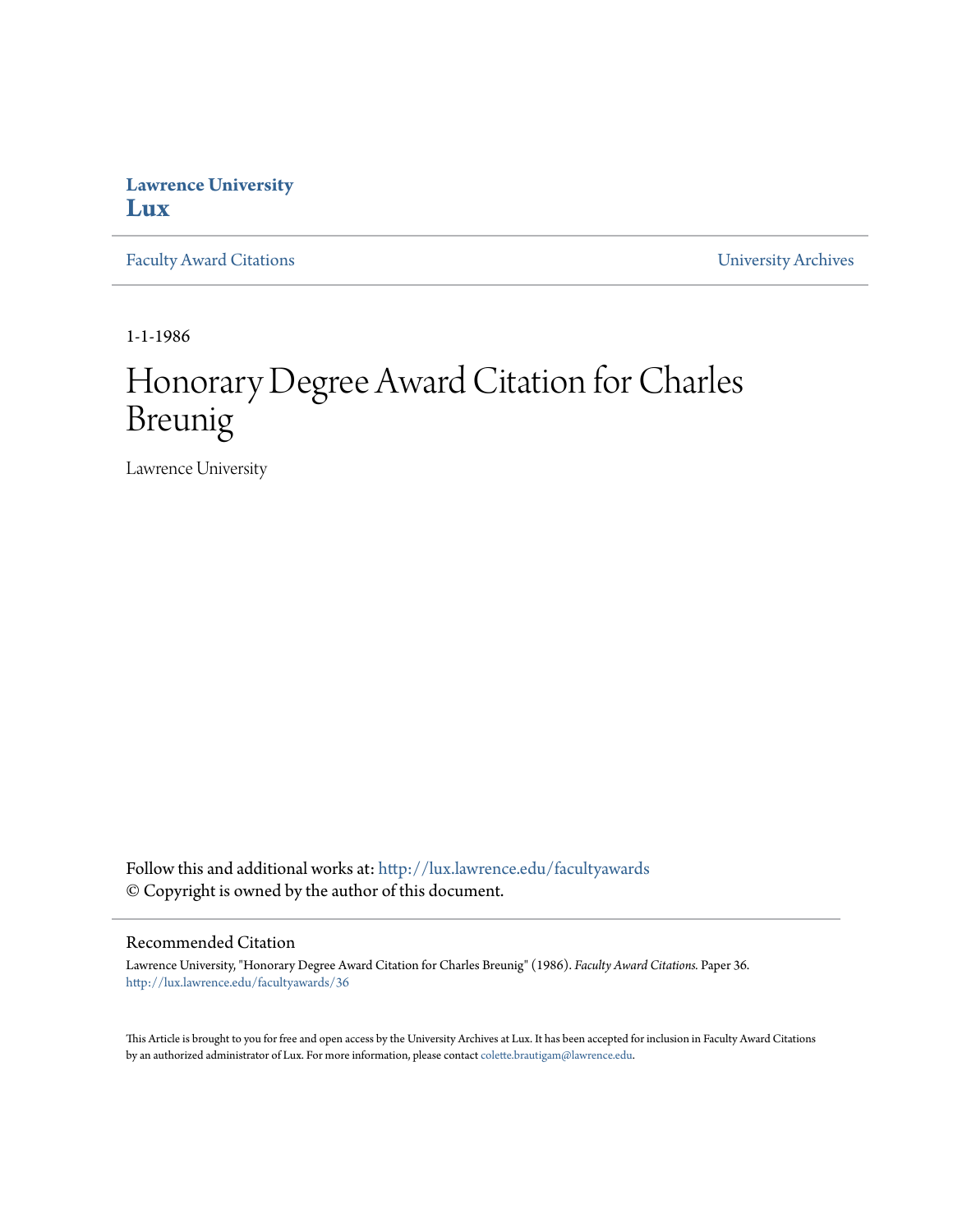## **Lawrence University [Lux](http://lux.lawrence.edu?utm_source=lux.lawrence.edu%2Ffacultyawards%2F36&utm_medium=PDF&utm_campaign=PDFCoverPages)**

[Faculty Award Citations](http://lux.lawrence.edu/facultyawards?utm_source=lux.lawrence.edu%2Ffacultyawards%2F36&utm_medium=PDF&utm_campaign=PDFCoverPages) **Example 2018** [University Archives](http://lux.lawrence.edu/archives?utm_source=lux.lawrence.edu%2Ffacultyawards%2F36&utm_medium=PDF&utm_campaign=PDFCoverPages)

1-1-1986

# Honorary Degree Award Citation for Charles Breunig

Lawrence University

Follow this and additional works at: [http://lux.lawrence.edu/facultyawards](http://lux.lawrence.edu/facultyawards?utm_source=lux.lawrence.edu%2Ffacultyawards%2F36&utm_medium=PDF&utm_campaign=PDFCoverPages) © Copyright is owned by the author of this document.

#### Recommended Citation

Lawrence University, "Honorary Degree Award Citation for Charles Breunig" (1986). *Faculty Award Citations.* Paper 36. [http://lux.lawrence.edu/facultyawards/36](http://lux.lawrence.edu/facultyawards/36?utm_source=lux.lawrence.edu%2Ffacultyawards%2F36&utm_medium=PDF&utm_campaign=PDFCoverPages)

This Article is brought to you for free and open access by the University Archives at Lux. It has been accepted for inclusion in Faculty Award Citations by an authorized administrator of Lux. For more information, please contact [colette.brautigam@lawrence.edu](mailto:colette.brautigam@lawrence.edu).